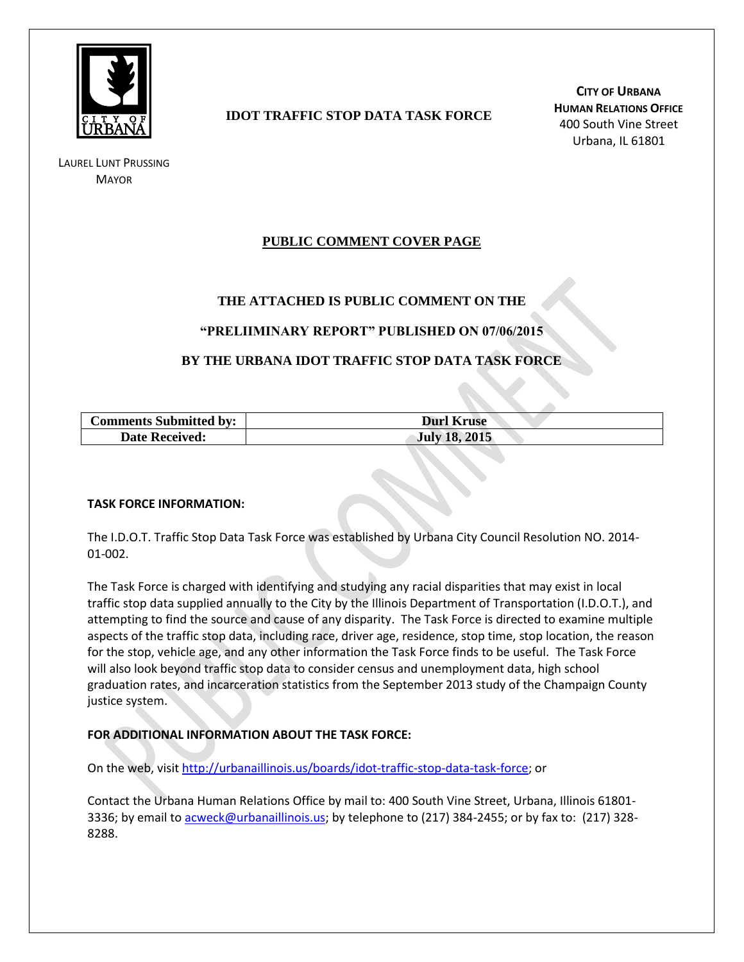

LAUREL LUNT PRUSSING **MAYOR** 

# **IDOT TRAFFIC STOP DATA TASK FORCE**

**CITY OF URBANA HUMAN RELATIONS OFFICE** 400 South Vine Street Urbana, IL 61801

# **PUBLIC COMMENT COVER PAGE**

## **THE ATTACHED IS PUBLIC COMMENT ON THE**

### **"PRELIIMINARY REPORT" PUBLISHED ON 07/06/2015**

## **BY THE URBANA IDOT TRAFFIC STOP DATA TASK FORCE**

| <b>Comments Submitted by:</b> | <b>Durl Kruse</b>    |
|-------------------------------|----------------------|
| <b>Date Received:</b>         | <b>July 18, 2015</b> |

#### **TASK FORCE INFORMATION:**

The I.D.O.T. Traffic Stop Data Task Force was established by Urbana City Council Resolution NO. 2014- 01-002.

The Task Force is charged with identifying and studying any racial disparities that may exist in local traffic stop data supplied annually to the City by the Illinois Department of Transportation (I.D.O.T.), and attempting to find the source and cause of any disparity. The Task Force is directed to examine multiple aspects of the traffic stop data, including race, driver age, residence, stop time, stop location, the reason for the stop, vehicle age, and any other information the Task Force finds to be useful. The Task Force will also look beyond traffic stop data to consider census and unemployment data, high school graduation rates, and incarceration statistics from the September 2013 study of the Champaign County justice system.

### **FOR ADDITIONAL INFORMATION ABOUT THE TASK FORCE:**

On the web, visit [http://urbanaillinois.us/boards/idot-traffic-stop-data-task-force;](http://urbanaillinois.us/boards/idot-traffic-stop-data-task-force) or

Contact the Urbana Human Relations Office by mail to: 400 South Vine Street, Urbana, Illinois 61801 3336; by email to [acweck@urbanaillinois.us;](mailto:acweck@urbanaillinois.us) by telephone to (217) 384-2455; or by fax to: (217) 328-8288.